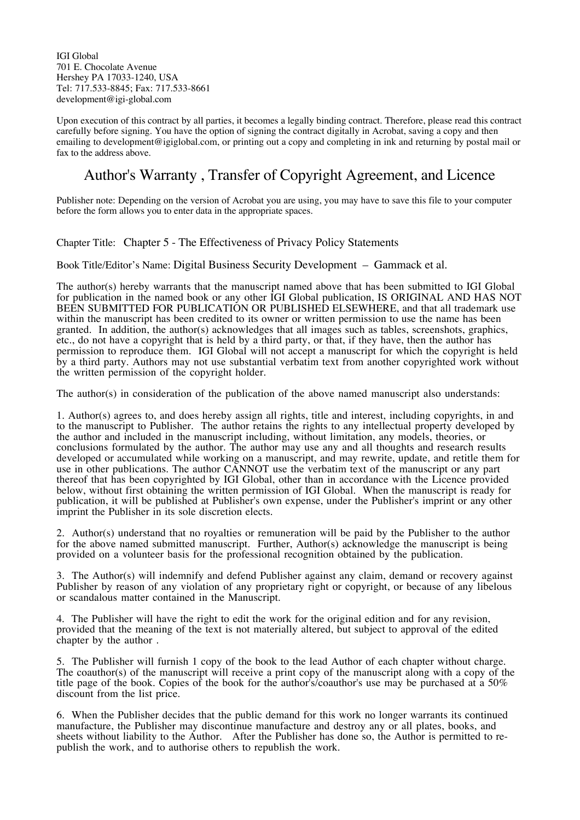IGI Global 701 E. Chocolate Avenue Hershey PA 17033-1240, USA Tel: 717.533-8845; Fax: 717.533-8661 development@igi-global.com

Upon execution of this contract by all parties, it becomes a legally binding contract. Therefore, please read this contract carefully before signing. You have the option of signing the contract digitally in Acrobat, saving a copy and then emailing to development@igiglobal.com, or printing out a copy and completing in ink and returning by postal mail or fax to the address above.

## Author's Warranty , Transfer of Copyright Agreement, and Licence

Publisher note: Depending on the version of Acrobat you are using, you may have to save this file to your computer before the form allows you to enter data in the appropriate spaces.

Chapter Title: Chapter 5 - The Effectiveness of Privacy Policy Statements

Book Title/Editor's Name: Digital Business Security Development – Gammack et al.

The author(s) hereby warrants that the manuscript named above that has been submitted to IGI Global for publication in the named book or any other IGI Global publication, IS ORIGINAL AND HAS NOT BEEN SUBMITTED FOR PUBLICATION OR PUBLISHED ELSEWHERE, and that all trademark use within the manuscript has been credited to its owner or written permission to use the name has been granted. In addition, the author(s) acknowledges that all images such as tables, screenshots, graphics, etc., do not have a copyright that is held by a third party, or that, if they have, then the author has permission to reproduce them. IGI Global will not accept a manuscript for which the copyright is held by a third party. Authors may not use substantial verbatim text from another copyrighted work without the written permission of the copyright holder.

The author(s) in consideration of the publication of the above named manuscript also understands:

1. Author(s) agrees to, and does hereby assign all rights, title and interest, including copyrights, in and to the manuscript to Publisher. The author retains the rights to any intellectual property developed by the author and included in the manuscript including, without limitation, any models, theories, or conclusions formulated by the author. The author may use any and all thoughts and research results developed or accumulated while working on a manuscript, and may rewrite, update, and retitle them for use in other publications. The author CANNOT use the verbatim text of the manuscript or any part thereof that has been copyrighted by IGI Global, other than in accordance with the Licence provided below, without first obtaining the written permission of IGI Global. When the manuscript is ready for publication, it will be published at Publisher's own expense, under the Publisher's imprint or any other imprint the Publisher in its sole discretion elects.

2. Author(s) understand that no royalties or remuneration will be paid by the Publisher to the author for the above named submitted manuscript. Further, Author(s) acknowledge the manuscript is being provided on a volunteer basis for the professional recognition obtained by the publication.

3. The Author(s) will indemnify and defend Publisher against any claim, demand or recovery against Publisher by reason of any violation of any proprietary right or copyright, or because of any libelous or scandalous matter contained in the Manuscript.

4. The Publisher will have the right to edit the work for the original edition and for any revision, provided that the meaning of the text is not materially altered, but subject to approval of the edited chapter by the author .

5. The Publisher will furnish <sup>1</sup> copy of the book to the lead Author of each chapter without charge. The coauthor(s) of the manuscript will receive <sup>a</sup> print copy of the manuscript along with <sup>a</sup> copy of the title page of the book. Copies of the book for the author's/coauthor's use may be purchased at a 50% discount from the list price.

6. When the Publisher decides that the public demand for this work no longer warrants its continued manufacture, the Publisher may discontinue manufacture and destroy any or all plates, books, and sheets without liability to the Author. After the Publisher has done so, the Author is permitted to republish the work, and to authorise others to republish the work.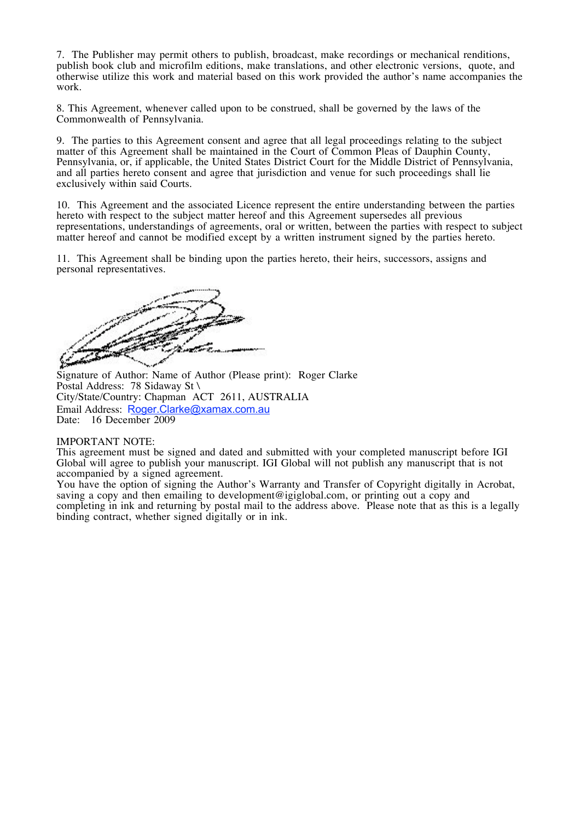7. The Publisher may permit others to publish, broadcast, make recordings or mechanical renditions, publish book club and microfilm editions, make translations, and other electronic versions, quote, and otherwise utilize this work and material based on this work provided the author's name accompanies the work.

8. This Agreement, whenever called upon to be construed, shall be governed by the laws of the Commonwealth of Pennsylvania.

9. The parties to this Agreement consent and agree that all legal proceedings relating to the subject Pennsylvania, or, if applicable, the United States District Court for the Middle District of Pennsylvania, and all parties hereto consent and agree that jurisdiction and venue for such proceedings shall lie exclusively within said Courts.

10. This Agreement and the associated Licence represent the entire understanding between the parties hereto with respect to the subject matter hereof and this Agreement supersedes all previous representations, understandings of agreements, oral or written, between the parties with respect to subject matter hereof and cannot be modified except by a written instrument signed by the parties hereto.

11. This Agreement shall be binding upon the parties hereto, their heirs, successors, assigns and personal representatives.

Signature of Author: Name of Author (Please print): Roger Clarke Postal Address: 78 Sidaway St \ City/State/Country: Chapman ACT 2611, AUSTRALIA Email Address: Roger.Clarke@xamax.com.au Date: 16 December 2009

## IMPORTANT NOTE:

This agreement must be signed and dated and submitted with your completed manuscript before IGI Global will agree to publish your manuscript. IGI Global will not publish any manuscript that is not accompanied by a signed agreement.

You have the option of signing the Author's Warranty and Transfer of Copyright digitally in Acrobat, saving a copy and then emailing to development@igiglobal.com, or printing out a copy and completing in ink and returning by postal mail to the address above. Please note that as this is a legally binding contract, whether signed digitally or in ink.